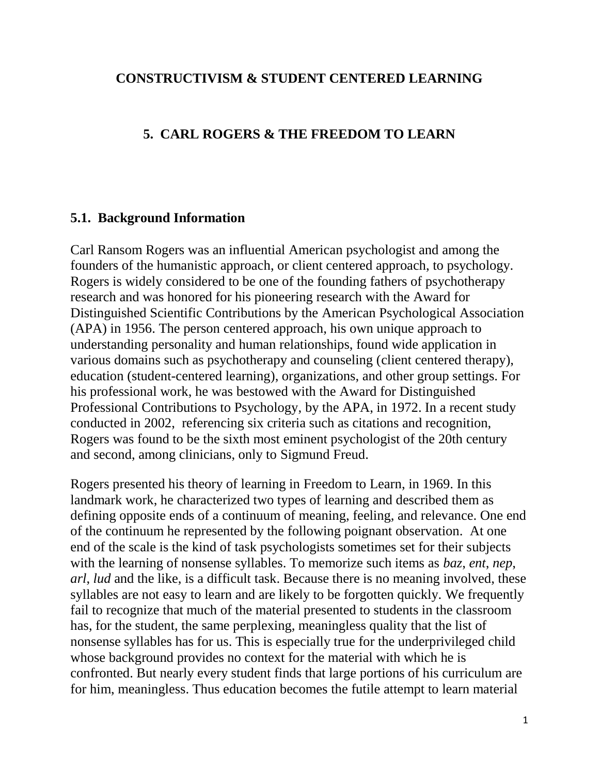### **CONSTRUCTIVISM & STUDENT CENTERED LEARNING**

### **5. CARL ROGERS & THE FREEDOM TO LEARN**

### **5.1. Background Information**

Carl Ransom Rogers was an influential American [psychologist](http://en.wikipedia.org/wiki/Psychologist) and among the founders of the [humanistic approach,](http://en.wikipedia.org/wiki/Humanistic_psychology) or client centered approach, to [psychology.](http://en.wikipedia.org/wiki/Psychology) Rogers is widely considered to be one of the founding fathers of psychotherapy research and was honored for his pioneering research with the Award for Distinguished Scientific Contributions by the [American Psychological Association](http://en.wikipedia.org/wiki/American_Psychological_Association) (APA) in 1956. The person [centered approach,](http://en.wikipedia.org/wiki/Person-centered_therapy) his own unique approach to understanding personality and human relationships, found wide application in various domains such as psychotherapy and counseling (client [centered therapy\)](http://en.wikipedia.org/wiki/Person-centered_psychotherapy), [education](http://en.wikipedia.org/wiki/Education) [\(student-centered learning\)](http://en.wikipedia.org/wiki/Student-centered_learning), organizations, and other group settings. For his professional work, he was bestowed with the Award for Distinguished Professional Contributions to Psychology, by the [APA,](http://en.wikipedia.org/wiki/American_Psychological_Association) in 1972. In a recent study conducted in 2002, referencing six criteria such as citations and recognition, Rogers was found to be the sixth most eminent psychologist of the 20th century and second, among clinicians, only to [Sigmund Freud.](http://en.wikipedia.org/wiki/Sigmund_Freud)

Rogers presented his theory of learning in Freedom to Learn, in 1969. In this landmark work, he characterized two types of learning and described them as defining opposite ends of a continuum of meaning, feeling, and relevance. One end of the continuum he represented by the following poignant observation. At one end of the scale is the kind of task psychologists sometimes set for their subjects with the learning of nonsense syllables. To memorize such items as *baz*, *ent*, *nep*, *arl*, *lud* and the like, is a difficult task. Because there is no meaning involved, these syllables are not easy to learn and are likely to be forgotten quickly. We frequently fail to recognize that much of the material presented to students in the classroom has, for the student, the same perplexing, meaningless quality that the list of nonsense syllables has for us. This is especially true for the underprivileged child whose background provides no context for the material with which he is confronted. But nearly every student finds that large portions of his curriculum are for him, meaningless. Thus education becomes the futile attempt to learn material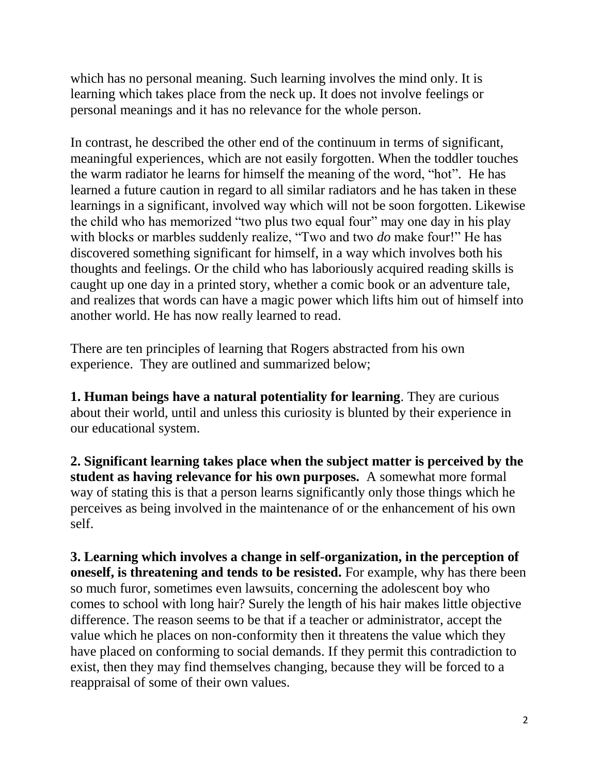which has no personal meaning. Such learning involves the mind only. It is learning which takes place from the neck up. It does not involve feelings or personal meanings and it has no relevance for the whole person.

In contrast, he described the other end of the continuum in terms of significant, meaningful experiences, which are not easily forgotten. When the toddler touches the warm radiator he learns for himself the meaning of the word, "hot". He has learned a future caution in regard to all similar radiators and he has taken in these learnings in a significant, involved way which will not be soon forgotten. Likewise the child who has memorized "two plus two equal four" may one day in his play with blocks or marbles suddenly realize, "Two and two *do* make four!" He has discovered something significant for himself, in a way which involves both his thoughts and feelings. Or the child who has laboriously acquired reading skills is caught up one day in a printed story, whether a comic book or an adventure tale, and realizes that words can have a magic power which lifts him out of himself into another world. He has now really learned to read.

There are ten principles of learning that Rogers abstracted from his own experience. They are outlined and summarized below;

**1. Human beings have a natural potentiality for learning**. They are curious about their world, until and unless this curiosity is blunted by their experience in our educational system.

**2. Significant learning takes place when the subject matter is perceived by the student as having relevance for his own purposes.** A somewhat more formal way of stating this is that a person learns significantly only those things which he perceives as being involved in the maintenance of or the enhancement of his own self.

**3. Learning which involves a change in self-organization, in the perception of oneself, is threatening and tends to be resisted.** For example, why has there been so much furor, sometimes even lawsuits, concerning the adolescent boy who comes to school with long hair? Surely the length of his hair makes little objective difference. The reason seems to be that if a teacher or administrator, accept the value which he places on non-conformity then it threatens the value which they have placed on conforming to social demands. If they permit this contradiction to exist, then they may find themselves changing, because they will be forced to a reappraisal of some of their own values.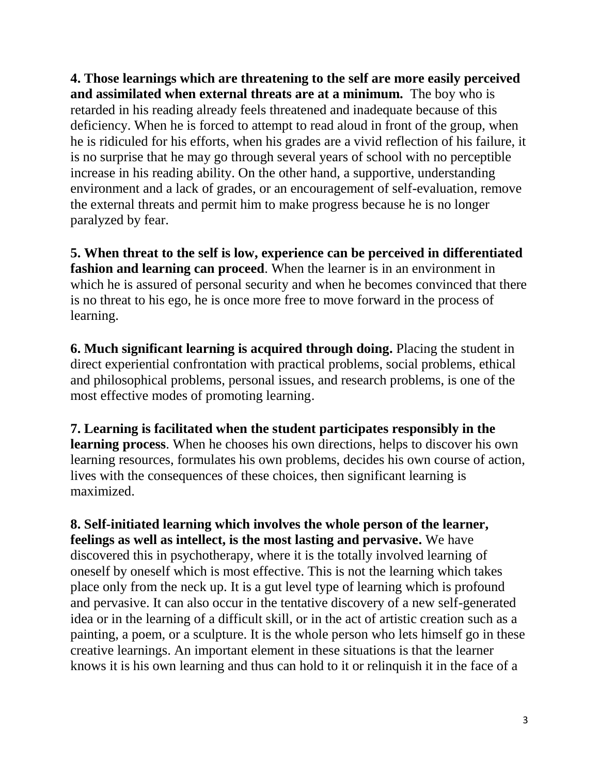**4. Those learnings which are threatening to the self are more easily perceived and assimilated when external threats are at a minimum.** The boy who is retarded in his reading already feels threatened and inadequate because of this deficiency. When he is forced to attempt to read aloud in front of the group, when he is ridiculed for his efforts, when his grades are a vivid reflection of his failure, it is no surprise that he may go through several years of school with no perceptible increase in his reading ability. On the other hand, a supportive, understanding environment and a lack of grades, or an encouragement of self-evaluation, remove the external threats and permit him to make progress because he is no longer paralyzed by fear.

**5. When threat to the self is low, experience can be perceived in differentiated fashion and learning can proceed**. When the learner is in an environment in which he is assured of personal security and when he becomes convinced that there is no threat to his ego, he is once more free to move forward in the process of learning.

**6. Much significant learning is acquired through doing.** Placing the student in direct experiential confrontation with practical problems, social problems, ethical and philosophical problems, personal issues, and research problems, is one of the most effective modes of promoting learning.

**7. Learning is facilitated when the student participates responsibly in the learning process**. When he chooses his own directions, helps to discover his own learning resources, formulates his own problems, decides his own course of action, lives with the consequences of these choices, then significant learning is maximized.

**8. Self-initiated learning which involves the whole person of the learner, feelings as well as intellect, is the most lasting and pervasive.** We have discovered this in psychotherapy, where it is the totally involved learning of oneself by oneself which is most effective. This is not the learning which takes place only from the neck up. It is a gut level type of learning which is profound and pervasive. It can also occur in the tentative discovery of a new self-generated idea or in the learning of a difficult skill, or in the act of artistic creation such as a painting, a poem, or a sculpture. It is the whole person who lets himself go in these creative learnings. An important element in these situations is that the learner knows it is his own learning and thus can hold to it or relinquish it in the face of a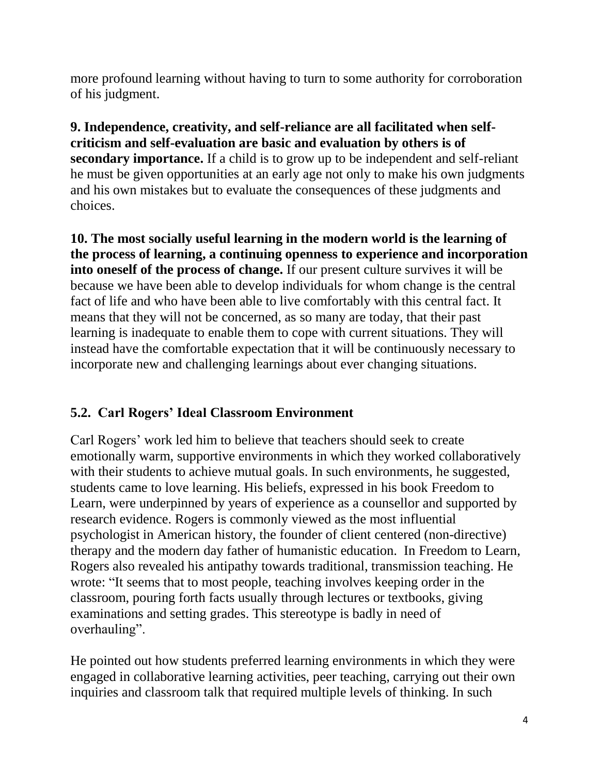more profound learning without having to turn to some authority for corroboration of his judgment.

**9. Independence, creativity, and self-reliance are all facilitated when selfcriticism and self-evaluation are basic and evaluation by others is of secondary importance.** If a child is to grow up to be independent and self-reliant he must be given opportunities at an early age not only to make his own judgments and his own mistakes but to evaluate the consequences of these judgments and choices.

**10. The most socially useful learning in the modern world is the learning of the process of learning, a continuing openness to experience and incorporation into oneself of the process of change.** If our present culture survives it will be because we have been able to develop individuals for whom change is the central fact of life and who have been able to live comfortably with this central fact. It means that they will not be concerned, as so many are today, that their past learning is inadequate to enable them to cope with current situations. They will instead have the comfortable expectation that it will be continuously necessary to incorporate new and challenging learnings about ever changing situations.

# **5.2. Carl Rogers' Ideal Classroom Environment**

Carl Rogers' work led him to believe that teachers should seek to create emotionally warm, supportive environments in which they worked collaboratively with their students to achieve mutual goals. In such environments, he suggested, students came to love learning. His beliefs, expressed in his book Freedom to Learn, were underpinned by years of experience as a counsellor and supported by research evidence. Rogers is commonly viewed as the most influential psychologist in American history, the founder of client centered (non-directive) therapy and the modern day father of humanistic education. In Freedom to Learn, Rogers also revealed his antipathy towards traditional, transmission teaching. He wrote: "It seems that to most people, teaching involves keeping order in the classroom, pouring forth facts usually through lectures or textbooks, giving examinations and setting grades. This stereotype is badly in need of overhauling".

He pointed out how students preferred learning environments in which they were engaged in collaborative learning activities, peer teaching, carrying out their own inquiries and classroom talk that required multiple levels of thinking. In such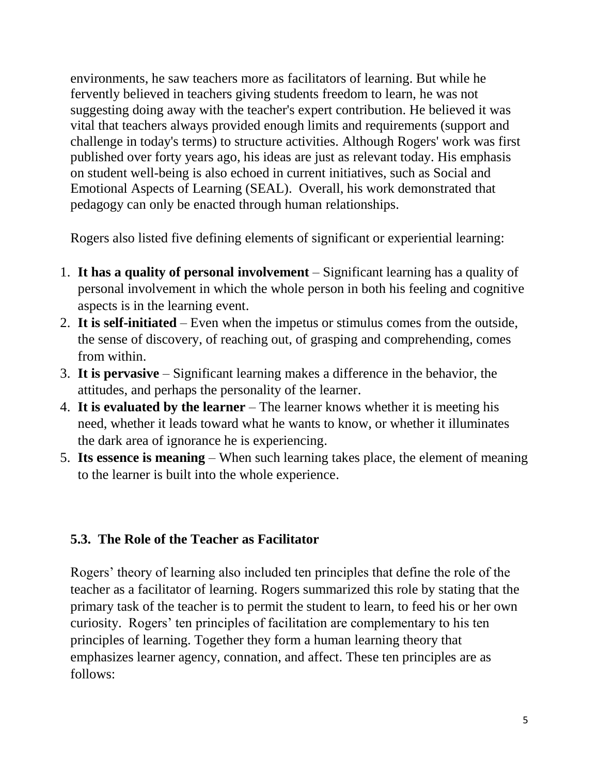environments, he saw teachers more as facilitators of learning. But while he fervently believed in teachers giving students freedom to learn, he was not suggesting doing away with the teacher's expert contribution. He believed it was vital that teachers always provided enough limits and requirements (support and challenge in today's terms) to structure activities. Although Rogers' work was first published over forty years ago, his ideas are just as relevant today. His emphasis on student well-being is also echoed in current initiatives, such as Social and Emotional Aspects of Learning (SEAL). Overall, his work demonstrated that pedagogy can only be enacted through human relationships.

Rogers also listed five defining elements of significant or experiential learning:

- 1. **It has a quality of personal involvement** Significant learning has a quality of personal involvement in which the whole person in both his feeling and cognitive aspects is in the learning event.
- 2. **It is self-initiated** Even when the impetus or stimulus comes from the outside, the sense of discovery, of reaching out, of grasping and comprehending, comes from within.
- 3. **It is pervasive** Significant learning makes a difference in the behavior, the attitudes, and perhaps the personality of the learner.
- 4. **It is evaluated by the learner** The learner knows whether it is meeting his need, whether it leads toward what he wants to know, or whether it illuminates the dark area of ignorance he is experiencing.
- 5. **Its essence is meaning** When such learning takes place, the element of meaning to the learner is built into the whole experience.

# **5.3. The Role of the Teacher as Facilitator**

Rogers' theory of learning also included ten principles that define the role of the teacher as a facilitator of learning. Rogers summarized this role by stating that the primary task of the teacher is to permit the student to learn, to feed his or her own curiosity. Rogers' ten principles of facilitation are complementary to his ten principles of learning. Together they form a human learning theory that emphasizes learner agency, connation, and affect. These ten principles are as follows: